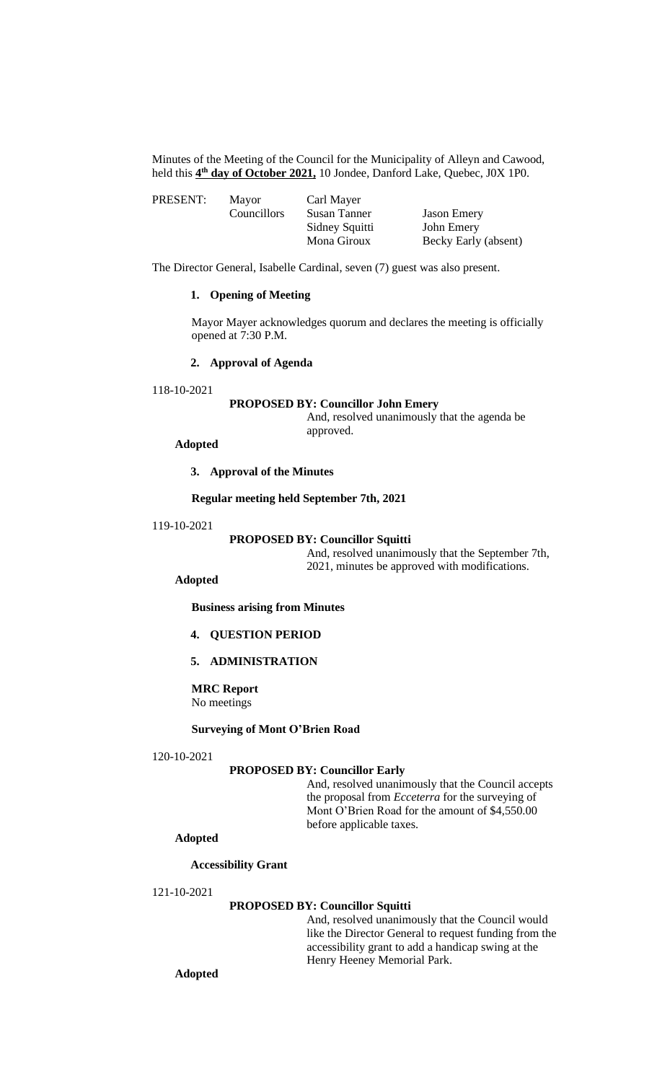Minutes of the Meeting of the Council for the Municipality of Alleyn and Cawood, held this **4 th day of October 2021,** 10 Jondee, Danford Lake, Quebec, J0X 1P0.

| PRESENT: | Mayor              | Carl Mayer     |                      |
|----------|--------------------|----------------|----------------------|
|          | <b>Councillors</b> | Susan Tanner   | <b>Jason Emery</b>   |
|          |                    | Sidney Squitti | John Emery           |
|          |                    | Mona Giroux    | Becky Early (absent) |

The Director General, Isabelle Cardinal, seven (7) guest was also present.

# **1. Opening of Meeting**

Mayor Mayer acknowledges quorum and declares the meeting is officially opened at 7:30 P.M.

## **2. Approval of Agenda**

118-10-2021

#### **PROPOSED BY: Councillor John Emery**

And, resolved unanimously that the agenda be approved.

## **Adopted**

**3. Approval of the Minutes**

## **Regular meeting held September 7th, 2021**

#### 119-10-2021

# **PROPOSED BY: Councillor Squitti**

And, resolved unanimously that the September 7th, 2021, minutes be approved with modifications.

## **Adopted**

**Business arising from Minutes**

# **4. QUESTION PERIOD**

# **5. ADMINISTRATION**

**MRC Report** No meetings

## **Surveying of Mont O'Brien Road**

#### 120-10-2021

## **PROPOSED BY: Councillor Early**

And, resolved unanimously that the Council accepts the proposal from *Ecceterra* for the surveying of Mont O'Brien Road for the amount of \$4,550.00 before applicable taxes.

# **Adopted**

### **Accessibility Grant**

## 121-10-2021

# **PROPOSED BY: Councillor Squitti**

And, resolved unanimously that the Council would like the Director General to request funding from the accessibility grant to add a handicap swing at the Henry Heeney Memorial Park.

**Adopted**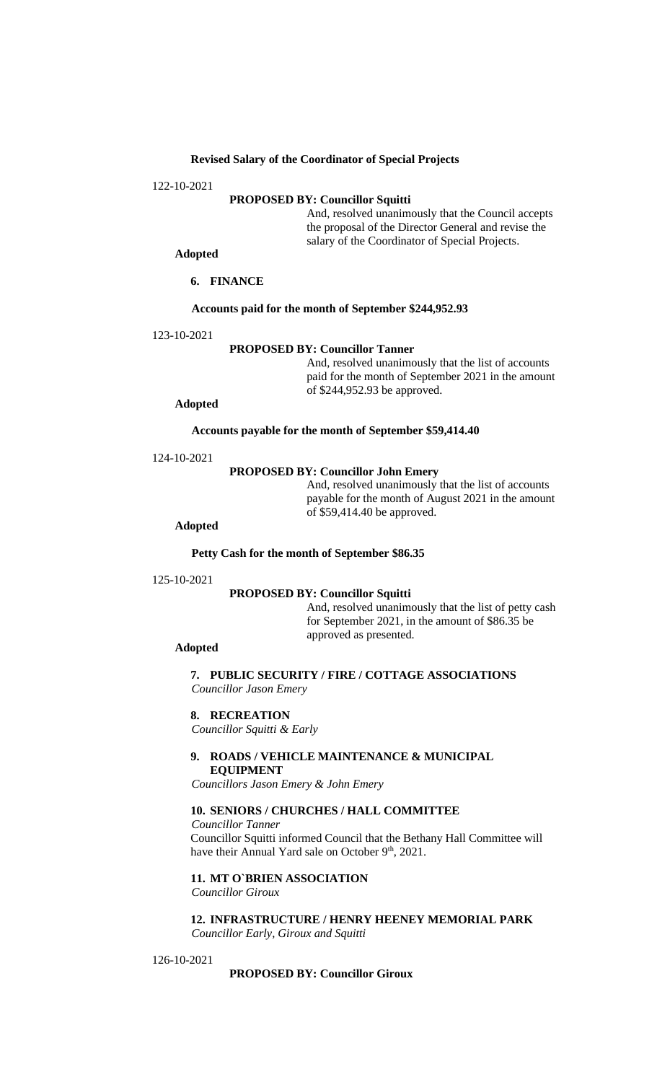## **Revised Salary of the Coordinator of Special Projects**

122-10-2021

## **PROPOSED BY: Councillor Squitti**

And, resolved unanimously that the Council accepts the proposal of the Director General and revise the salary of the Coordinator of Special Projects.

**Adopted**

**6. FINANCE**

**Accounts paid for the month of September \$244,952.93**

123-10-2021

### **PROPOSED BY: Councillor Tanner**

And, resolved unanimously that the list of accounts paid for the month of September 2021 in the amount of \$244,952.93 be approved.

#### **Adopted**

**Accounts payable for the month of September \$59,414.40**

124-10-2021

#### **PROPOSED BY: Councillor John Emery**

And, resolved unanimously that the list of accounts payable for the month of August 2021 in the amount of \$59,414.40 be approved.

### **Adopted**

**Petty Cash for the month of September \$86.35**

#### 125-10-2021

## **PROPOSED BY: Councillor Squitti**

And, resolved unanimously that the list of petty cash for September 2021, in the amount of \$86.35 be approved as presented.

## **Adopted**

**7. PUBLIC SECURITY / FIRE / COTTAGE ASSOCIATIONS** *Councillor Jason Emery*

## **8. RECREATION**

*Councillor Squitti & Early*

### **9. ROADS / VEHICLE MAINTENANCE & MUNICIPAL EQUIPMENT**

*Councillors Jason Emery & John Emery*

## **10. SENIORS / CHURCHES / HALL COMMITTEE**

*Councillor Tanner*

Councillor Squitti informed Council that the Bethany Hall Committee will have their Annual Yard sale on October 9<sup>th</sup>, 2021.

# **11. MT O`BRIEN ASSOCIATION**

*Councillor Giroux*

**12. INFRASTRUCTURE / HENRY HEENEY MEMORIAL PARK** *Councillor Early, Giroux and Squitti*

### 126-10-2021

## **PROPOSED BY: Councillor Giroux**